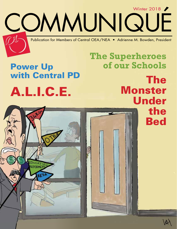Publication for Members of Central OEA/NEA • Adrienne M. Bowden, President

COMMUNIQUÉ

# A.L.I.C.E. Power Up with Central PD

The Monster Under the Bed

**The Superheroes** 

**of our Schools**

Winter 2018 /

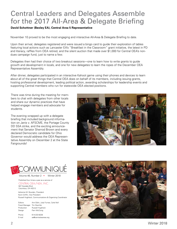# Central Leaders and Delegates Assemble for the 2017 All-Area & Delegate Briefing

#### **David Schottner (Bexley EA), Central Area 5 Representative**

November 10 proved to be the most engaging and interactive All-Area & Delegate Briefing to date.

Upon their arrival, delegates registered and were issued a bingo card to guide their exploration of tables featuring local actions such as Lancaster EA's "Breakfast in the Classroom" grant initiative, the latest in PD and literacy, raffles from OEA retired, and the silent auction that made over \$1,000 for Central OEA's nondues campaign fund, just to name a few.

Delegates then had their choice of two breakout sessions—one to learn how to write grants to guide growth and development in locals, and one for new delegates to learn the ropes of the December OEA Representative Assembly.

After dinner, delegates participated in an interactive Kahoot game using their phones and devices to learn about all of the great things that Central OEA does on behalf of its members, including issuing grants, hosting professional development, leading political action, awarding scholarships for leadership events and supporting Central members who run for statewide OEA elected positions.

There was time during the meeting for members to chat with delegates from other locals and share our dynamic practices that have helped engage members and advocate for students.

The evening wrapped up with a delegate briefing that included background information on Janis v. AFSCME, the Portage County DD SSA strike, and the exciting announcement that Senator Sherrod Brown and every declared Democratic candidate for Ohio Governor would address the OEA Representative Assembly on December 2 at the State Fairgrounds!





Volume 46, Number 2 • Winter 2018

Published four times a year as a service of CENTRAL OEA/NEA, INC. 947 Goodale Blvd.

Columbus, OH 43212 Adrienne M. Bowden, President

Kevin Griffin, Vice President Russell Hughlock, Communications & Organizing Coordinator

| Ann Eblin, Judy Furnas, Carla Noll |
|------------------------------------|
| Tim Skamfer                        |
| Russell Hughlock                   |
| Pam McClung                        |
| 614-222-8228                       |
| aa@centraloeanea.org               |
|                                    |



2 Winter 2018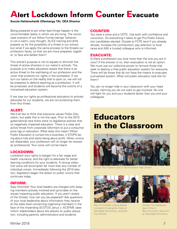# **Alert Lockdown Inform Counter Evacuate**

#### **Soozie Hetterscheidt (Olentangy TA), OEA Director**

Being prepared to act when bad things happen is the uncomfortable reality in which we are living. The worstcase scenario of our fellow human beings' behavior is not a warm, cozy thought. ALICE training and drills prepare us for the possibility of a threat in our school, but what if we apply the same process to the threats our profession faces, so that we are more prepared, together, to face and defeat them?

This article's purpose is not to equate or diminish the threat of active shooters in our nation's schools. The purpose is to make educators aware that there is an active threat to the well-being of our profession and the union that protects our rights in the workplace. If we turn our backs on the reality that is upon us, we will not be prepared to defend teaching as a profession. It will be privatized, and students will become the victims of a monetized education system.

If we lose our rights as professional educators to actively advocate for our students, we are not protecting them from this threat.

#### ALERT:

We'd all like to think that everyone values Public Education, but sadly this is not the case. Prior to the 2010 gubernatorial race there were no legislative policies that so negatively impacted education. There is a clear and active threat from corporate reformers to put a consumer price tag on education. What does this mean? When Public Education is turned into a business, it STOPS being about kids and starts being about profit. When unions are disbanded, your profession will no longer be viewed as professional. Your voice will not be heard.

#### LOCKDOWN:

Lockdown your rights to bargain for a fair wage and health insurance, and the right to advocate for better learning conditions for your students. A strong collective voice will accomplish far more than any number of individual voices. Immediately following the 2010 election, legislators began the attack on public unions that continues today.

#### INFORM:

Stay informed! Your local leaders are charged with keeping members actively involved and up-to-date on the issues impacting public education. If you aren't aware of the threats, how can you be prepared? Ask questions of your local leadership about information they receive at the state level concerning organizing members in the face of the impending SCOTUS Janus v. ACSFME case. Inform stakeholders about the attacks on public education, including parents, administrators and students.

#### COUNTER:

You have a voice and a VOTE. Use both with confidence and conviction. Do everything it takes to get Pro-Public Education candidates elected. Donate to FCPE (and if you already donate, increase the contribution), pay attention to local races and ASK a trusted colleague who is informed.

#### EVACUATE:

Is there a profession you love more than the one you are in now? If the answer is no, then evacuation is not an option. We must use our collective power to remove those that seek to destroy a free public education system for everyone. There will be those that do not have the means to evacuate a privatized system. What will public education look like for them?

You can no longer hide in your classroom with your head buried, claiming you do not want to get involved. No one will fight for you and your students better than you and your colleagues.

# **Educators** in the Classroom



Senator Bob Hackett visits to Northwestern High School



Rep Tim Schaffer visiting Barbie Lumbard's kindergarten class at Tallmadge Elementary, Lancaster City Schools



Senator Troy Balderson spent time in Barb Summers' classroom at Tallmadge Elementary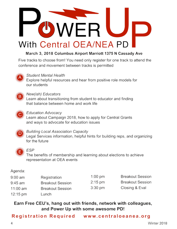

### March 3, 2018 Columbus Airport Marriott 1375 N Cassady Ave

Five tracks to choose from! You need only register for one track to attend the conference and movement between tracks is permitted



### **Student Mental Health**

Explore helpful resources and hear from positive role models for our students



### New(ish) Educators

Learn about transitioning from student to educator and finding that balance between home and work life



### **Education Advocacy**

Learn about Campaign 2018, how to apply for Central Grants and ways to advocate for education issues



#### **Building Local Association Capacity**

Legal Services information, helpful hints for building reps, and organizing for the future



#### ESP

The benefits of membership and learning about elections to achieve representation at OEA events

### Agenda:

| 9:00 am            | Registration            | 1:00 pm           | <b>Breakout Session</b> |
|--------------------|-------------------------|-------------------|-------------------------|
| 9:45 am            | <b>Breakout Session</b> | $2:15 \text{ pm}$ | <b>Breakout Session</b> |
| 11:00 am           | <b>Breakout Session</b> | 3:30 pm           | Closing & Eval          |
| $12:15 \text{ pm}$ | Lunch                   |                   |                         |

### Earn Free CEU's, hang out with friends, network with colleagues, and Power Up with some awesome PD!

Registration Required www.centraloeanea.org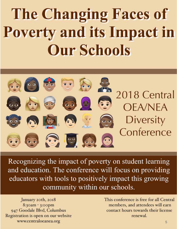# The Changing Faces of **Poverty and its Impact in Our Schools**



Recognizing the impact of poverty on student learning and education. The conference will focus on providing educators with tools to positively impact this growing community within our schools.

January 20th, 2018 8:30am - 3:00pm 947 Goodale Blvd, Columbus Registration is open on our website www.communication.org

This conference is free for all Central members, and attendees will earn contact hours towards their license renewal.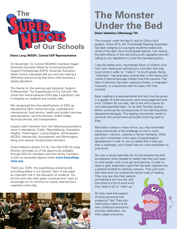

#### **Diana Long (WESP), Central ESP Representative**

On November 13, Central OEA/NEA members began American Education Week by honoring Education Support Professionals (ESPs). American Education Week honors individuals like you who are making a difference and ensuring that every child receives a quality education.

The theme for the evening was Education Support Professionals: The Superheroes of Our Schools. We chose this theme because ESPs play a significant role in keeping our students and schools safe.

We recognized the nine classifications of ESPs as identified by NEA: clerical services, custodial and maintenance, food service, health and student services, para-educators, security services, skilled trades, technical service, and transportation.

Support staff members from the following associations were in attendance: Dublin, Reynoldsburg, Grandview Heights, Pickerington, Licking Heights, Northwestern, NEOEA, Westerville, Southeastern and Worthington, along with several Central board members.

Cheryl Williams (Dublin S.S.A.), the OEA ESP At-Large Director reminded us of the opportunity available through OEA for members and their family members to earn an associate degree online **www.freecollege. ohea.org.**

Thank you, ESPs, the superheroes ensuring and promoting safety in our schools. Each of you plays an important role in the education of students. You do the work that often goes unnoticed and I want to encourage you to continue to inspire, lead and be a superhero every day.



# **The Monster Under the Bed**

#### **Diane Valentino (Olentangy TA)**

The monster under the bed is real for Ohio's third graders. Since 2015, the Third-Grade Reading Guarantee has been keeping our youngest students awake and afraid of the dark. As a fourth-grade teacher, I am seeing the after-effects of this test and punish regulation and am calling on our legislators to undo this damaging policy.

I see the battle-worn, traumatized faces of children who now view reading as nothing but a mountain that they must climb in order to "make it" to fourth grade. Being "held back" has long been striking fear in the hearts and minds of elementary-age children and their parents. The idea of retention has been used as a threat, a misguided motivator, or a cautionary tale for years with little success.

Basic reading is a developmental skill and must be grown in a garden of solid resources, adult encouragement and time. Children do not walk, talk or eat with a spoon on one state-specified date, nor do their families receive letters outlining the consequences of not reaching these developmental goals. The reading intervention needs to continue; but punishment and public shaming need to stop.

Motivation comes in many forms, you may remember rising victoriously to the challenge of one or more educators, mentors, coaches or family members. What you don't remember is the years of psychological development it took for you to realize that it was just that, a challenge, not a threat that you were powerless to overcome.

You see, a seven-year-olds do not yet possess the selfactualization skills needed to realize that they just need to work harder, with more grit and stamina, in order to reach a goal, especially a goal that has been hijacked into a political football for arbitrary reasons. They just know that they have not cracked the secret code of reading.

They only see that their parents and teachers are worried, and that there is a lot of extra work they need to do to "catch up."

Do they need the support of extra personnel and programs? Yes! They also need policy makers to be their childhood champions and their defenders, not their judges and juries.

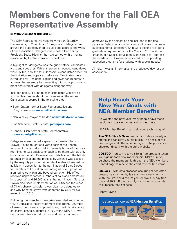# **Members Convene for the Fall OEA Representative Assembly**

#### **Brittany Alexander (Hilliard EA)**

The OEA Representative Assembly met on Saturday, December 2, in Columbus. 816 registered delegates from around the state convened to guide and approve the work of our association. Delegates were called to order by President Becky Higgins, then welcomed with a moving invocation by Central member Linna Jordan.

A highlight for delegates was the gubernatorial candidates' visits and speeches. While all seven announced candidates were invited, only the four Democratic candidates accepted the invitation and appeared before us. Candidates were introduced by President Higgins and given ten minutes to address the assembly before exiting with an opportunity to meet and interact with delegates along the way.

Included below is a link to each candidates website so you can learn more about their stances on the issues. Candidates appeared in the following order:

- Betty Sutton, former State Representative and Congresswoman **www.bettysutton.com**
- Nan Whaley, Mayor of Dayton **nanwhaleyforohio.com**
- Joe Schiavoni, State Senator **joeforjobs.com**
- Connie Pillich, former State Representative  **www.conniepillich.com**

Delegates were treated a speech by Senator Sherrod Brown. Having fought and voted against the Senate version of the tax reform bill in the early hours of Saturday morning, he was gracious enough to be there with us only hours later. Senator Brown shared details about the bill, its potential impact and the process by which it was passed by the majority party in the Senate. He also addressed our activism in opposition to the nomination of Betsy DeVos to Secretary of Education, reminding us of our power as a united voice within and beyond our union. His office received unprecedented numbers of calls and emails: 260 in support of, and 36,000 against her nomination. Senator Brown discussed implementation of ESSA and the mess of Ohio's charter schools. It was clear for delegates to see why Senator Brown was endorsed by OEA for his reelection in 2018.

Following the speeches, delegates amended and adopted OEA's Legislative Policy Statement document. A number of amendments were proposed to align with NEA's policy on charter schools, adopted in July at the NEA RA. Two Central members introduced amendments that were

approved by the delegation and included in the final passage. Delegates also discussed and passed two new business items, directing OEA toward actions related to graduation requirements for the Class of 2018 and the creation of a Special Education Work Group to "address the needs of OEA members involved in or supporting education programs for students with special needs."

All told, it was an informative and productive day for our association.

## Help Reach Your New Year Goals with NEA Member Benefits

As we start the new year, many people have made resolutions to save money and budget more.

NEA Member Benefits can help you reach that goal!

**The NEA Click & Save** Program includes a variety of stores and can save you big bucks. The deals of the day change and offer a percentage off the prices. You checkout directly with the store website.

**COSTCO** - You can receive \$60 in free products when you sign up for a new membership. Make sure you purchase the membership through the NEA Members Benefit page to receive the certificate for free items.

**LifeLock** - With data breaches occurring all too often, protecting your identity is sadly now a new normal. With the LifeLock discount you receive a 30-day free trial and 10% off the monthly cost when you decide to purchase their services.

Happy Saving!